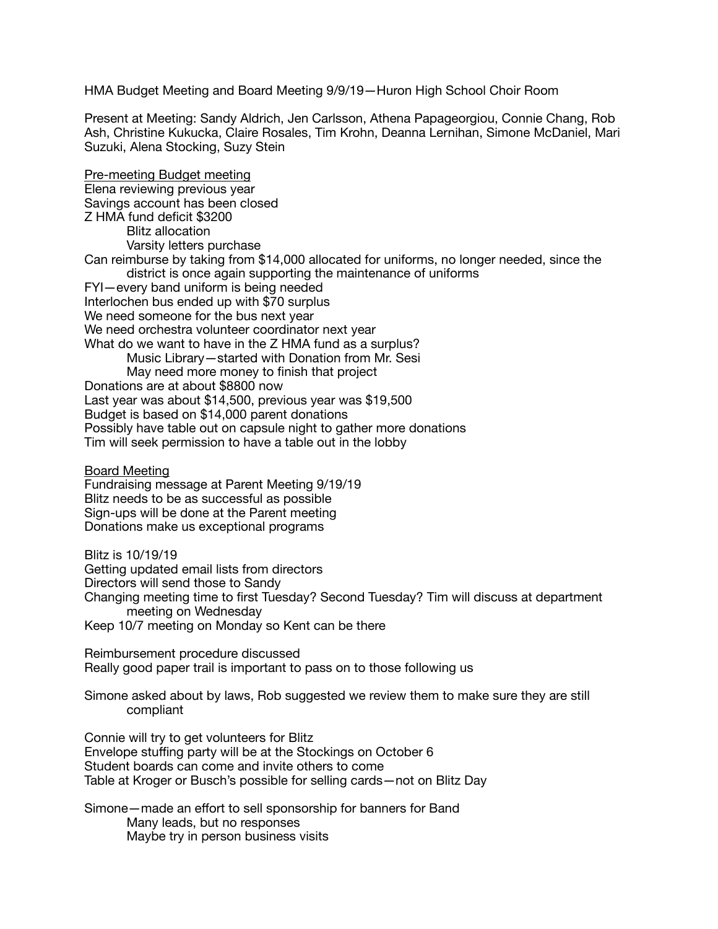HMA Budget Meeting and Board Meeting 9/9/19—Huron High School Choir Room

Present at Meeting: Sandy Aldrich, Jen Carlsson, Athena Papageorgiou, Connie Chang, Rob Ash, Christine Kukucka, Claire Rosales, Tim Krohn, Deanna Lernihan, Simone McDaniel, Mari Suzuki, Alena Stocking, Suzy Stein

Pre-meeting Budget meeting Elena reviewing previous year Savings account has been closed Z HMA fund deficit \$3200 Blitz allocation Varsity letters purchase Can reimburse by taking from \$14,000 allocated for uniforms, no longer needed, since the district is once again supporting the maintenance of uniforms FYI—every band uniform is being needed Interlochen bus ended up with \$70 surplus We need someone for the bus next year We need orchestra volunteer coordinator next year What do we want to have in the Z HMA fund as a surplus? Music Library—started with Donation from Mr. Sesi May need more money to finish that project Donations are at about \$8800 now Last year was about \$14,500, previous year was \$19,500 Budget is based on \$14,000 parent donations Possibly have table out on capsule night to gather more donations Tim will seek permission to have a table out in the lobby Board Meeting Fundraising message at Parent Meeting 9/19/19 Blitz needs to be as successful as possible Sign-ups will be done at the Parent meeting Donations make us exceptional programs Blitz is 10/19/19 Getting updated email lists from directors Directors will send those to Sandy Changing meeting time to first Tuesday? Second Tuesday? Tim will discuss at department meeting on Wednesday Keep 10/7 meeting on Monday so Kent can be there Reimbursement procedure discussed Really good paper trail is important to pass on to those following us Simone asked about by laws, Rob suggested we review them to make sure they are still compliant Connie will try to get volunteers for Blitz Envelope stuffing party will be at the Stockings on October 6 Student boards can come and invite others to come Table at Kroger or Busch's possible for selling cards—not on Blitz Day Simone—made an effort to sell sponsorship for banners for Band Many leads, but no responses Maybe try in person business visits